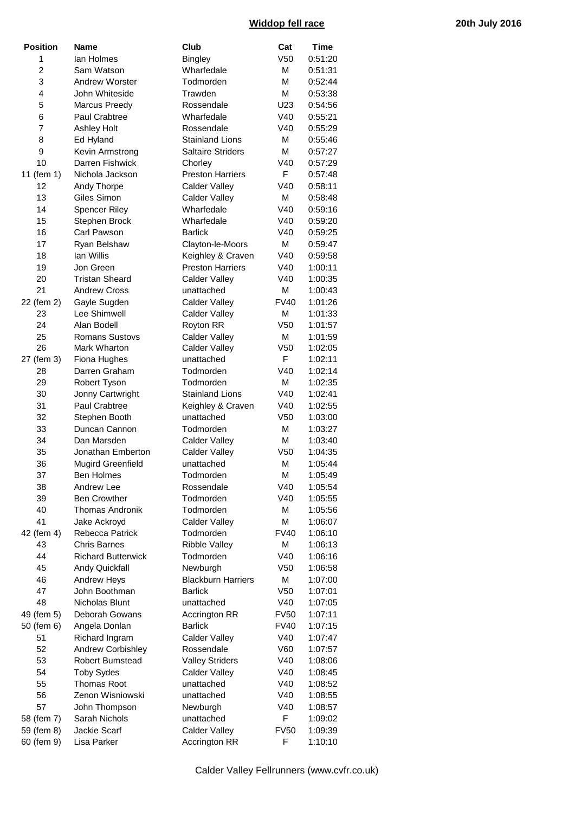## **Widdop fell race 20th July 2016**

| <b>Position</b> | <b>Name</b>               | Club                      | Cat             | <b>Time</b> |
|-----------------|---------------------------|---------------------------|-----------------|-------------|
| 1               | lan Holmes                | <b>Bingley</b>            | V <sub>50</sub> | 0:51:20     |
| 2               | Sam Watson                | Wharfedale                | M               | 0:51:31     |
| 3               | <b>Andrew Worster</b>     | Todmorden                 | M               | 0:52:44     |
| 4               | John Whiteside            | Trawden                   | M               | 0:53:38     |
| 5               | Marcus Preedy             | Rossendale                | U23             | 0:54:56     |
| 6               | Paul Crabtree             | Wharfedale                | V40             | 0:55:21     |
| 7               | <b>Ashley Holt</b>        | Rossendale                | V40             | 0:55:29     |
| 8               | Ed Hyland                 | <b>Stainland Lions</b>    | M               | 0:55:46     |
| 9               | Kevin Armstrong           | <b>Saltaire Striders</b>  | M               | 0:57:27     |
| 10              | Darren Fishwick           | Chorley                   | V40             | 0:57:29     |
| 11 (fem 1)      | Nichola Jackson           | <b>Preston Harriers</b>   | F               | 0:57:48     |
| 12              | Andy Thorpe               | <b>Calder Valley</b>      | V40             | 0:58:11     |
| 13              | Giles Simon               | <b>Calder Valley</b>      | M               | 0:58:48     |
| 14              | <b>Spencer Riley</b>      | Wharfedale                | V40             | 0:59:16     |
| 15              | Stephen Brock             | Wharfedale                | V40             | 0:59:20     |
| 16              | Carl Pawson               | <b>Barlick</b>            | V40             |             |
| 17              |                           |                           | M               | 0:59:25     |
|                 | Ryan Belshaw              | Clayton-le-Moors          |                 | 0:59:47     |
| 18              | lan Willis                | Keighley & Craven         | V40             | 0:59:58     |
| 19              | Jon Green                 | <b>Preston Harriers</b>   | V40             | 1:00:11     |
| 20              | <b>Tristan Sheard</b>     | Calder Valley             | V40             | 1:00:35     |
| 21              | <b>Andrew Cross</b>       | unattached                | M               | 1:00:43     |
| 22 (fem 2)      | Gayle Sugden              | <b>Calder Valley</b>      | <b>FV40</b>     | 1:01:26     |
| 23              | Lee Shimwell              | <b>Calder Valley</b>      | M               | 1:01:33     |
| 24              | Alan Bodell               | Royton RR                 | V <sub>50</sub> | 1:01:57     |
| 25              | <b>Romans Sustovs</b>     | <b>Calder Valley</b>      | M               | 1:01:59     |
| 26              | Mark Wharton              | <b>Calder Valley</b>      | V <sub>50</sub> | 1:02:05     |
| 27 (fem 3)      | Fiona Hughes              | unattached                | F               | 1:02:11     |
| 28              | Darren Graham             | Todmorden                 | V40             | 1:02:14     |
| 29              | Robert Tyson              | Todmorden                 | M               | 1:02:35     |
| 30              | Jonny Cartwright          | <b>Stainland Lions</b>    | V40             | 1:02:41     |
| 31              | Paul Crabtree             | Keighley & Craven         | V40             | 1:02:55     |
| 32              | Stephen Booth             | unattached                | V <sub>50</sub> | 1:03:00     |
| 33              | Duncan Cannon             | Todmorden                 | M               | 1:03:27     |
| 34              | Dan Marsden               | <b>Calder Valley</b>      | M               | 1:03:40     |
| 35              | Jonathan Emberton         | <b>Calder Valley</b>      | V <sub>50</sub> | 1:04:35     |
| 36              | <b>Mugird Greenfield</b>  | unattached                | M               | 1:05:44     |
| 37              | Ben Holmes                | Todmorden                 | М               | 1:05:49     |
| 38              | <b>Andrew Lee</b>         | Rossendale                | V40             | 1:05:54     |
| 39              | <b>Ben Crowther</b>       | Todmorden                 | V40             | 1:05:55     |
| 40              | <b>Thomas Andronik</b>    | Todmorden                 | M               | 1:05:56     |
| 41              | Jake Ackroyd              | Calder Valley             | M               | 1:06:07     |
| 42 (fem 4)      | Rebecca Patrick           | Todmorden                 | <b>FV40</b>     | 1:06:10     |
| 43              | <b>Chris Barnes</b>       | <b>Ribble Valley</b>      | M               | 1:06:13     |
| 44              | <b>Richard Butterwick</b> | Todmorden                 | V40             | 1:06:16     |
| 45              | <b>Andy Quickfall</b>     | Newburgh                  | V <sub>50</sub> | 1:06:58     |
| 46              | Andrew Heys               | <b>Blackburn Harriers</b> | M               | 1:07:00     |
| 47              | John Boothman             | <b>Barlick</b>            | V <sub>50</sub> | 1:07:01     |
| 48              | Nicholas Blunt            | unattached                | V40             | 1:07:05     |
|                 | Deborah Gowans            |                           | <b>FV50</b>     |             |
| 49 (fem 5)      |                           | <b>Accrington RR</b>      |                 | 1:07:11     |
| 50 (fem 6)      | Angela Donlan             | <b>Barlick</b>            | FV40            | 1:07:15     |
| 51              | Richard Ingram            | <b>Calder Valley</b>      | V40             | 1:07:47     |
| 52              | <b>Andrew Corbishley</b>  | Rossendale                | V60             | 1:07:57     |
| 53              | <b>Robert Bumstead</b>    | <b>Valley Striders</b>    | V40             | 1:08:06     |
| 54              | <b>Toby Sydes</b>         | <b>Calder Valley</b>      | V40             | 1:08:45     |
| 55              | <b>Thomas Root</b>        | unattached                | V40             | 1:08:52     |
| 56              | Zenon Wisniowski          | unattached                | V40             | 1:08:55     |
| 57              | John Thompson             | Newburgh                  | V40             | 1:08:57     |
| 58 (fem 7)      | Sarah Nichols             | unattached                | F               | 1:09:02     |
| 59 (fem 8)      | Jackie Scarf              | <b>Calder Valley</b>      | <b>FV50</b>     | 1:09:39     |
| 60 (fem 9)      | Lisa Parker               | <b>Accrington RR</b>      | F               | 1:10:10     |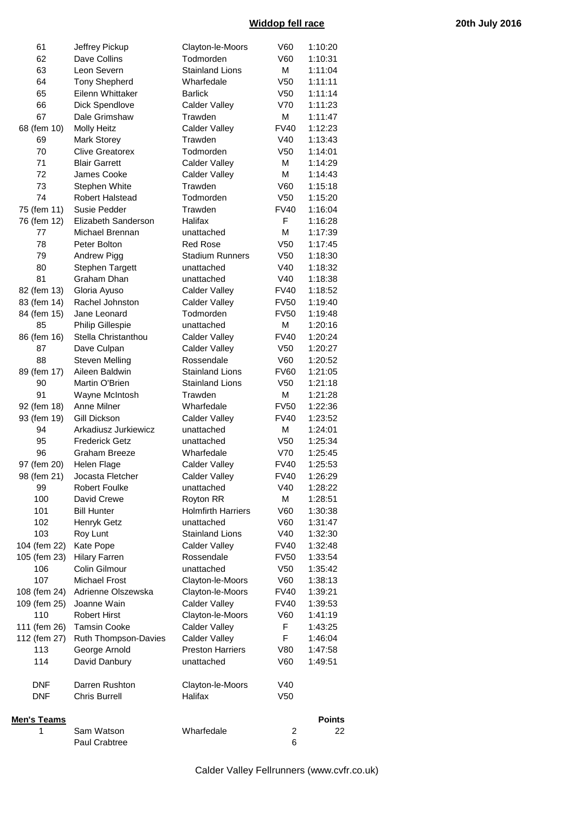## **Widdop fell race 20th July 2016**

| 61                 | Jeffrey Pickup               | Clayton-le-Moors          | V60             | 1:10:20       |
|--------------------|------------------------------|---------------------------|-----------------|---------------|
| 62                 | Dave Collins                 | Todmorden                 | V60             | 1:10:31       |
| 63                 | Leon Severn                  | <b>Stainland Lions</b>    | M               | 1:11:04       |
| 64                 | <b>Tony Shepherd</b>         | Wharfedale                | V <sub>50</sub> | 1:11:11       |
| 65                 | Eilenn Whittaker             | <b>Barlick</b>            | V <sub>50</sub> | 1:11:14       |
| 66                 | Dick Spendlove               | <b>Calder Valley</b>      | V70             | 1:11:23       |
| 67                 | Dale Grimshaw                | Trawden                   | M               | 1:11:47       |
| 68 (fem 10)        | <b>Molly Heitz</b>           | <b>Calder Valley</b>      | <b>FV40</b>     | 1:12:23       |
| 69                 | <b>Mark Storey</b>           | Trawden                   | V40             | 1:13:43       |
| 70                 | <b>Clive Greatorex</b>       | Todmorden                 | V <sub>50</sub> | 1:14:01       |
| 71                 | <b>Blair Garrett</b>         | <b>Calder Valley</b>      | M               | 1:14:29       |
| 72                 | James Cooke                  | <b>Calder Valley</b>      | M               | 1:14:43       |
| 73                 | Stephen White                | Trawden                   | V60             | 1:15:18       |
| 74                 | Robert Halstead              | Todmorden                 | V <sub>50</sub> | 1:15:20       |
| 75 (fem 11)        | Susie Pedder                 | Trawden                   | <b>FV40</b>     | 1:16:04       |
| 76 (fem 12)        | Elizabeth Sanderson          | Halifax                   | F               | 1:16:28       |
| 77                 | Michael Brennan              | unattached                | M               | 1:17:39       |
| 78                 | Peter Bolton                 | <b>Red Rose</b>           | V <sub>50</sub> | 1:17:45       |
| 79                 | Andrew Pigg                  | <b>Stadium Runners</b>    | V <sub>50</sub> | 1:18:30       |
| 80                 | <b>Stephen Targett</b>       | unattached                | V40             | 1:18:32       |
| 81                 | Graham Dhan                  | unattached                | V40             | 1:18:38       |
| 82 (fem 13)        | Gloria Ayuso                 | <b>Calder Valley</b>      | <b>FV40</b>     | 1:18:52       |
| 83 (fem 14)        | Rachel Johnston              | <b>Calder Valley</b>      | <b>FV50</b>     | 1:19:40       |
| 84 (fem 15)        | Jane Leonard                 | Todmorden                 | <b>FV50</b>     | 1:19:48       |
| 85                 | <b>Philip Gillespie</b>      | unattached                | M               | 1:20:16       |
| 86 (fem 16)        | Stella Christanthou          | <b>Calder Valley</b>      | <b>FV40</b>     | 1:20:24       |
| 87                 | Dave Culpan                  | <b>Calder Valley</b>      | V <sub>50</sub> | 1:20:27       |
| 88                 | <b>Steven Melling</b>        | Rossendale                | V60             | 1:20:52       |
| 89 (fem 17)        | Aileen Baldwin               | <b>Stainland Lions</b>    | <b>FV60</b>     | 1:21:05       |
| 90                 | Martin O'Brien               | <b>Stainland Lions</b>    | V <sub>50</sub> | 1:21:18       |
| 91                 | Wayne McIntosh               | Trawden                   | M               | 1:21:28       |
| 92 (fem 18)        | Anne Milner                  | Wharfedale                | <b>FV50</b>     | 1:22:36       |
| 93 (fem 19)        | Gill Dickson                 | <b>Calder Valley</b>      | <b>FV40</b>     | 1:23:52       |
| 94                 | Arkadiusz Jurkiewicz         | unattached                | M               | 1:24:01       |
| 95                 | <b>Frederick Getz</b>        | unattached                | V <sub>50</sub> | 1:25:34       |
| 96                 | Graham Breeze                | Wharfedale                | V70             | 1:25:45       |
| 97 (fem 20)        | Helen Flage                  | <b>Calder Valley</b>      | <b>FV40</b>     | 1:25:53       |
|                    | 98 (fem 21) Jocasta Fletcher | <b>Calder Valley</b>      | <b>FV40</b>     | 1:26:29       |
| 99                 | <b>Robert Foulke</b>         | unattached                | V40             | 1:28:22       |
| 100                | David Crewe                  | Royton RR                 | M               | 1:28:51       |
| 101                | <b>Bill Hunter</b>           | <b>Holmfirth Harriers</b> | V60             | 1:30:38       |
| 102                | Henryk Getz                  | unattached                | V60             | 1:31:47       |
| 103                | Roy Lunt                     | <b>Stainland Lions</b>    | V40             | 1:32:30       |
| 104 (fem 22)       | Kate Pope                    | Calder Valley             | <b>FV40</b>     | 1:32:48       |
| 105 (fem 23)       | <b>Hilary Farren</b>         | Rossendale                | <b>FV50</b>     | 1:33:54       |
| 106                | Colin Gilmour                | unattached                | V <sub>50</sub> | 1:35:42       |
| 107                | Michael Frost                | Clayton-le-Moors          | V60             | 1:38:13       |
| 108 (fem 24)       | Adrienne Olszewska           | Clayton-le-Moors          | <b>FV40</b>     | 1:39:21       |
| 109 (fem 25)       | Joanne Wain                  | <b>Calder Valley</b>      | <b>FV40</b>     | 1:39:53       |
| 110                | <b>Robert Hirst</b>          | Clayton-le-Moors          | V60             | 1:41:19       |
| 111 (fem 26)       | <b>Tamsin Cooke</b>          | <b>Calder Valley</b>      | F               | 1:43:25       |
| 112 (fem 27)       | Ruth Thompson-Davies         | <b>Calder Valley</b>      | F               | 1:46:04       |
| 113                | George Arnold                | <b>Preston Harriers</b>   | V80             | 1:47:58       |
| 114                | David Danbury                | unattached                | V60             | 1:49:51       |
| <b>DNF</b>         | Darren Rushton               | Clayton-le-Moors          | V40             |               |
| <b>DNF</b>         | <b>Chris Burrell</b>         | Halifax                   | V <sub>50</sub> |               |
| <b>Men's Teams</b> |                              |                           |                 | <b>Points</b> |
| 1                  | Sam Watson                   | Wharfedale                | 2               | 22            |
|                    | Paul Crabtree                |                           | 6               |               |